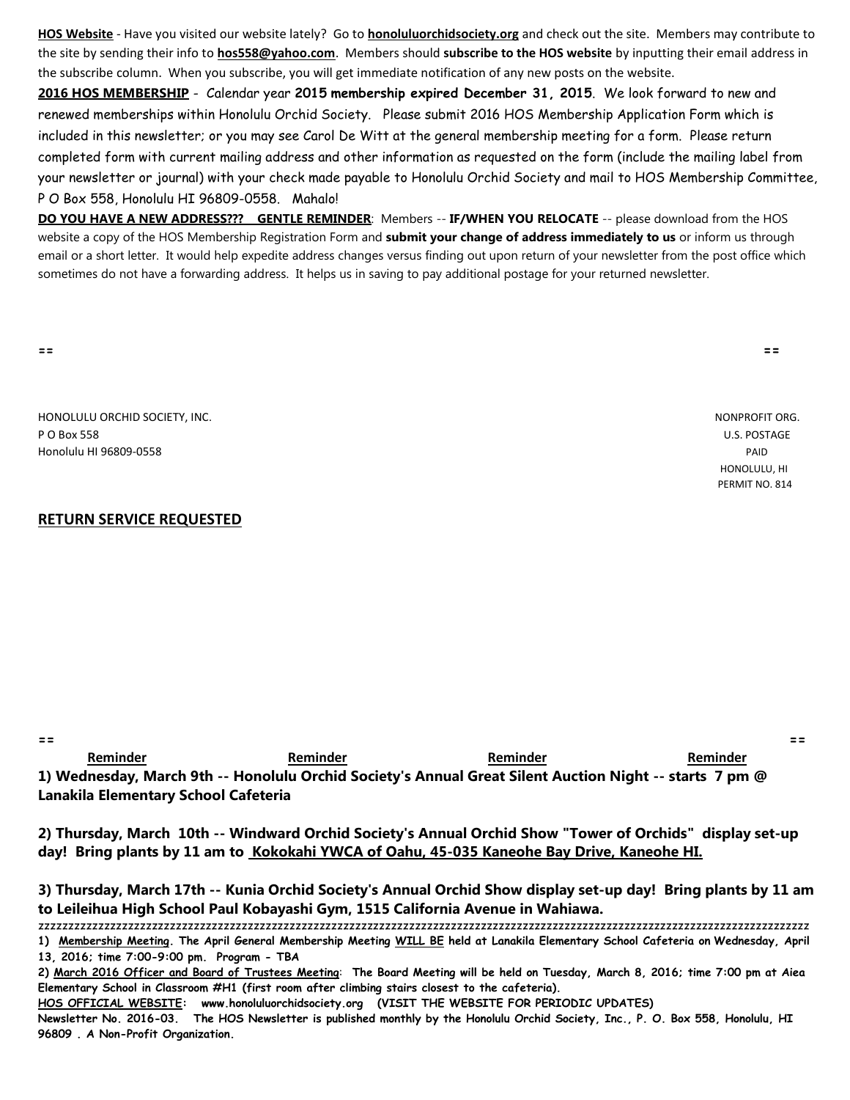**HOS Website** - Have you visited our website lately? Go to **honoluluorchidsociety.org** and check out the site. Members may contribute to the site by sending their info to **hos558@yahoo.com**. Members should **subscribe to the HOS website** by inputting their email address in the subscribe column. When you subscribe, you will get immediate notification of any new posts on the website.

**2016 HOS MEMBERSHIP** - Calendar year **2015 membership expired December 31, 2015**. We look forward to new and renewed memberships within Honolulu Orchid Society. Please submit 2016 HOS Membership Application Form which is included in this newsletter; or you may see Carol De Witt at the general membership meeting for a form. Please return completed form with current mailing address and other information as requested on the form (include the mailing label from your newsletter or journal) with your check made payable to Honolulu Orchid Society and mail to HOS Membership Committee, P O Box 558, Honolulu HI 96809-0558. Mahalo!

**DO YOU HAVE A NEW ADDRESS??? GENTLE REMINDER**: Members -- **IF/WHEN YOU RELOCATE** -- please download from the HOS website a copy of the HOS Membership Registration Form and **submit your change of address immediately to us** or inform us through email or a short letter. It would help expedite address changes versus finding out upon return of your newsletter from the post office which sometimes do not have a forwarding address. It helps us in saving to pay additional postage for your returned newsletter.

**== ==**

HONOLULU ORCHID SOCIETY, INC. NONPROFIT ORG. P O Box 558 U.S. POSTAGE Honolulu HI 96809-0558 PAID

## **RETURN SERVICE REQUESTED**

**== == Reminder Reminder Reminder Reminder 1) Wednesday, March 9th -- Honolulu Orchid Society's Annual Great Silent Auction Night -- starts 7 pm @ Lanakila Elementary School Cafeteria**

**2) Thursday, March 10th -- Windward Orchid Society's Annual Orchid Show "Tower of Orchids" display set-up day! Bring plants by 11 am to Kokokahi YWCA of Oahu, 45-035 Kaneohe Bay Drive, Kaneohe HI.**

**3) Thursday, March 17th -- Kunia Orchid Society's Annual Orchid Show display set-up day! Bring plants by 11 am to Leileihua High School Paul Kobayashi Gym, 1515 California Avenue in Wahiawa.** 

zzzzzzzzzzzzzzzzzzzzzzzzzzzzzzzzzzzzzzzzzzzzzzzzzzzzzzzzzzzzzzzzzzzzzzzzzzzzzzzzzzzzzzzzzzzzzzzzzzzzzzzzzzzzzzzzzzzzzzzzzzzzzzzzz **1) Membership Meeting. The April General Membership Meeting WILL BE held at Lanakila Elementary School Cafeteria on Wednesday, April** 

**13, 2016; time 7:00-9:00 pm. Program - TBA**

**HOS OFFICIAL WEBSITE: www.honoluluorchidsociety.org (VISIT THE WEBSITE FOR PERIODIC UPDATES)**

**Newsletter No. 2016-03. The HOS Newsletter is published monthly by the Honolulu Orchid Society, Inc., P. O. Box 558, Honolulu, HI 96809 . A Non-Profit Organization.** 

 HONOLULU, HI PERMIT NO. 814

**<sup>2)</sup> March 2016 Officer and Board of Trustees Meeting**: **The Board Meeting will be held on Tuesday, March 8, 2016; time 7:00 pm at Aiea Elementary School in Classroom #H1 (first room after climbing stairs closest to the cafeteria).**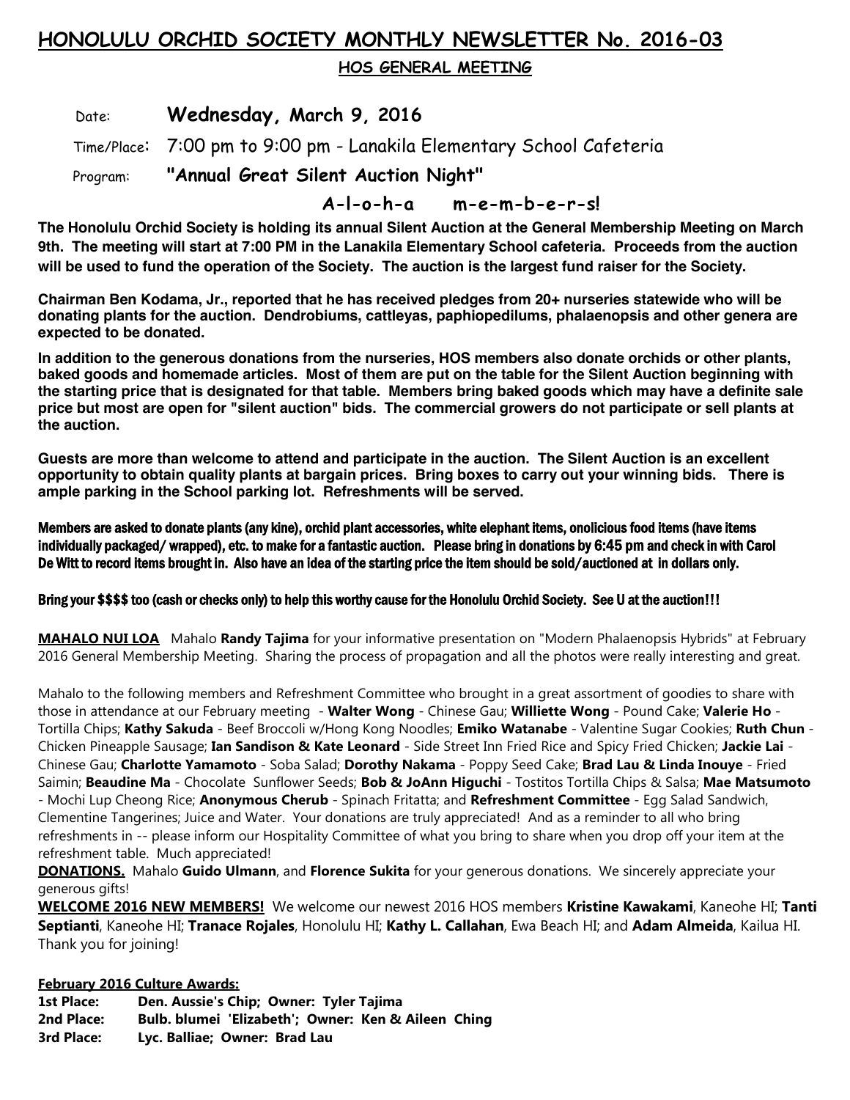## **HONOLULU ORCHID SOCIETY MONTHLY NEWSLETTER No. 2016-03**

 **HOS GENERAL MEETING** 

Date: **Wednesday, March 9, 2016**

Time/Place: 7:00 pm to 9:00 pm - Lanakila Elementary School Cafeteria

Program: **"Annual Great Silent Auction Night"** 

 **A-l-o-h-a m-e-m-b-e-r-s!**

**The Honolulu Orchid Society is holding its annual Silent Auction at the General Membership Meeting on March 9th. The meeting will start at 7:00 PM in the Lanakila Elementary School cafeteria. Proceeds from the auction will be used to fund the operation of the Society. The auction is the largest fund raiser for the Society.**

**Chairman Ben Kodama, Jr., reported that he has received pledges from 20+ nurseries statewide who will be donating plants for the auction. Dendrobiums, cattleyas, paphiopedilums, phalaenopsis and other genera are expected to be donated.** 

**In addition to the generous donations from the nurseries, HOS members also donate orchids or other plants, baked goods and homemade articles. Most of them are put on the table for the Silent Auction beginning with the starting price that is designated for that table. Members bring baked goods which may have a definite sale price but most are open for "silent auction" bids. The commercial growers do not participate or sell plants at the auction.**

**Guests are more than welcome to attend and participate in the auction. The Silent Auction is an excellent opportunity to obtain quality plants at bargain prices. Bring boxes to carry out your winning bids. There is ample parking in the School parking lot. Refreshments will be served.**

Members are asked to donate plants (any kine), orchid plant accessories, white elephant items, onolicious food items (have items individually packaged/ wrapped), etc. to make for a fantastic auction. Please bring in donations by 6:45 pm and check in with Carol De Witt to record items brought in. Also have an idea of the starting price the item should be sold/auctioned at in dollars only.

## Bring your \$\$\$\$ too (cash or checks only) to help this worthy cause for the Honolulu Orchid Society. See U at the auction!!!

**MAHALO NUI LOA** Mahalo **Randy Tajima** for your informative presentation on "Modern Phalaenopsis Hybrids" at February 2016 General Membership Meeting. Sharing the process of propagation and all the photos were really interesting and great.

Mahalo to the following members and Refreshment Committee who brought in a great assortment of goodies to share with those in attendance at our February meeting - **Walter Wong** - Chinese Gau; **Williette Wong** - Pound Cake; **Valerie Ho** - Tortilla Chips; **Kathy Sakuda** - Beef Broccoli w/Hong Kong Noodles; **Emiko Watanabe** - Valentine Sugar Cookies; **Ruth Chun** - Chicken Pineapple Sausage; **Ian Sandison & Kate Leonard** - Side Street Inn Fried Rice and Spicy Fried Chicken; **Jackie Lai** - Chinese Gau; **Charlotte Yamamoto** - Soba Salad; **Dorothy Nakama** - Poppy Seed Cake; **Brad Lau & Linda Inouye** - Fried Saimin; **Beaudine Ma** - Chocolate Sunflower Seeds; **Bob & JoAnn Higuchi** - Tostitos Tortilla Chips & Salsa; **Mae Matsumoto** - Mochi Lup Cheong Rice; **Anonymous Cherub** - Spinach Fritatta; and **Refreshment Committee** - Egg Salad Sandwich, Clementine Tangerines; Juice and Water. Your donations are truly appreciated! And as a reminder to all who bring refreshments in -- please inform our Hospitality Committee of what you bring to share when you drop off your item at the refreshment table. Much appreciated!

**DONATIONS.** Mahalo **Guido Ulmann**, and **Florence Sukita** for your generous donations. We sincerely appreciate your generous gifts!

**WELCOME 2016 NEW MEMBERS!** We welcome our newest 2016 HOS members **Kristine Kawakami**, Kaneohe HI; **Tanti Septianti**, Kaneohe HI; **Tranace Rojales**, Honolulu HI; **Kathy L. Callahan**, Ewa Beach HI; and **Adam Almeida**, Kailua HI. Thank you for joining!

**February 2016 Culture Awards:**

**1st Place: Den. Aussie's Chip; Owner: Tyler Tajima 2nd Place: Bulb. blumei 'Elizabeth'; Owner: Ken & Aileen Ching 3rd Place: Lyc. Balliae; Owner: Brad Lau**